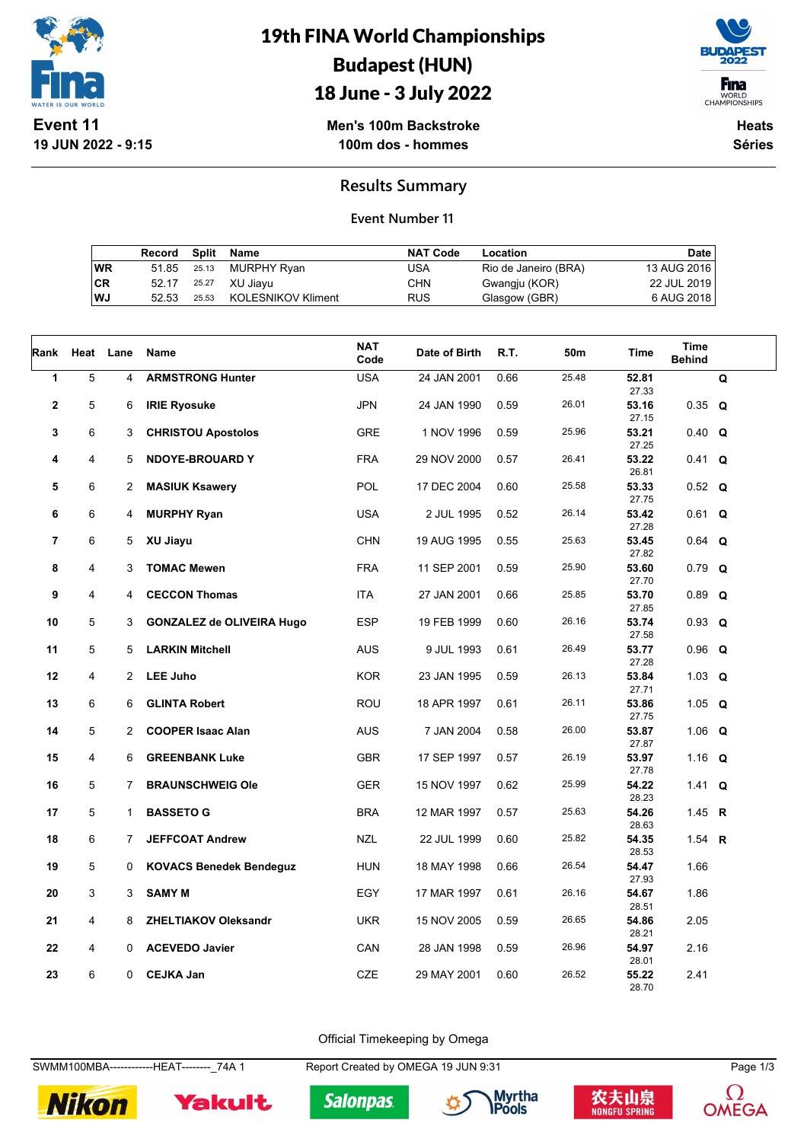

# 19th FINA World Championships Budapest (HUN)



## 18 June - 3 July 2022

**Men's 100m Backstroke 100m dos - hommes**

**Heats Séries**

#### **Results Summary**

#### **Event Number 11**

|    | Record Split Name |             |                          | <b>NAT Code</b> | Location             | Date        |
|----|-------------------|-------------|--------------------------|-----------------|----------------------|-------------|
| WR |                   | 51.85 25.13 | MURPHY Ryan              | USA             | Rio de Janeiro (BRA) | 13 AUG 2016 |
| CR |                   |             | 52.17 25.27 XU Jiavu     | <b>CHN</b>      | Gwangju (KOR)        | 22 JUL 2019 |
| WJ | 52.53             |             | 25.53 KOLESNIKOV Kliment | <b>RUS</b>      | Glasgow (GBR)        | 6 AUG 2018  |

| Rank                    | Heat | Lane           | Name                             | <b>NAT</b><br>Code | Date of Birth | R.T. | 50 <sub>m</sub> | Time           | <b>Time</b><br><b>Behind</b> |   |
|-------------------------|------|----------------|----------------------------------|--------------------|---------------|------|-----------------|----------------|------------------------------|---|
| 1                       | 5    | 4              | <b>ARMSTRONG Hunter</b>          | <b>USA</b>         | 24 JAN 2001   | 0.66 | 25.48           | 52.81<br>27.33 |                              | Q |
| $\overline{\mathbf{2}}$ | 5    | 6              | <b>IRIE Ryosuke</b>              | <b>JPN</b>         | 24 JAN 1990   | 0.59 | 26.01           | 53.16<br>27.15 | $0.35$ Q                     |   |
| 3                       | 6    | 3              | <b>CHRISTOU Apostolos</b>        | <b>GRE</b>         | 1 NOV 1996    | 0.59 | 25.96           | 53.21<br>27.25 | $0.40 \Omega$                |   |
| 4                       | 4    | 5              | <b>NDOYE-BROUARD Y</b>           | <b>FRA</b>         | 29 NOV 2000   | 0.57 | 26.41           | 53.22<br>26.81 | $0.41 \tQ$                   |   |
| 5                       | 6    | $\overline{2}$ | <b>MASIUK Ksawery</b>            | <b>POL</b>         | 17 DEC 2004   | 0.60 | 25.58           | 53.33<br>27.75 | $0.52$ Q                     |   |
| 6                       | 6    | 4              | <b>MURPHY Ryan</b>               | <b>USA</b>         | 2 JUL 1995    | 0.52 | 26.14           | 53.42<br>27.28 | $0.61$ Q                     |   |
| $\overline{7}$          | 6    | 5              | XU Jiayu                         | CHN                | 19 AUG 1995   | 0.55 | 25.63           | 53.45<br>27.82 | $0.64$ Q                     |   |
| 8                       | 4    | 3              | <b>TOMAC Mewen</b>               | <b>FRA</b>         | 11 SEP 2001   | 0.59 | 25.90           | 53.60<br>27.70 | $0.79$ Q                     |   |
| 9                       | 4    | 4              | <b>CECCON Thomas</b>             | ITA                | 27 JAN 2001   | 0.66 | 25.85           | 53.70<br>27.85 | $0.89$ Q                     |   |
| 10                      | 5    | 3              | <b>GONZALEZ de OLIVEIRA Hugo</b> | <b>ESP</b>         | 19 FEB 1999   | 0.60 | 26.16           | 53.74<br>27.58 | $0.93$ Q                     |   |
| 11                      | 5    | 5              | <b>LARKIN Mitchell</b>           | <b>AUS</b>         | 9 JUL 1993    | 0.61 | 26.49           | 53.77<br>27.28 | $0.96$ Q                     |   |
| 12                      | 4    | $\overline{2}$ | <b>LEE Juho</b>                  | <b>KOR</b>         | 23 JAN 1995   | 0.59 | 26.13           | 53.84<br>27.71 | 1.03 $Q$                     |   |
| 13                      | 6    | 6              | <b>GLINTA Robert</b>             | ROU                | 18 APR 1997   | 0.61 | 26.11           | 53.86<br>27.75 | 1.05 $Q$                     |   |
| 14                      | 5    | $\overline{2}$ | <b>COOPER Isaac Alan</b>         | <b>AUS</b>         | 7 JAN 2004    | 0.58 | 26.00           | 53.87<br>27.87 | 1.06 $Q$                     |   |
| 15                      | 4    | 6              | <b>GREENBANK Luke</b>            | <b>GBR</b>         | 17 SEP 1997   | 0.57 | 26.19           | 53.97<br>27.78 | 1.16 Q                       |   |
| 16                      | 5    | $\overline{7}$ | <b>BRAUNSCHWEIG Ole</b>          | <b>GER</b>         | 15 NOV 1997   | 0.62 | 25.99           | 54.22<br>28.23 | 1.41 <b>Q</b>                |   |
| 17                      | 5    | 1              | <b>BASSETO G</b>                 | <b>BRA</b>         | 12 MAR 1997   | 0.57 | 25.63           | 54.26<br>28.63 | 1.45 R                       |   |
| 18                      | 6    | $7^{\circ}$    | <b>JEFFCOAT Andrew</b>           | <b>NZL</b>         | 22 JUL 1999   | 0.60 | 25.82           | 54.35<br>28.53 | 1.54 $R$                     |   |
| 19                      | 5    | 0              | <b>KOVACS Benedek Bendeguz</b>   | HUN                | 18 MAY 1998   | 0.66 | 26.54           | 54.47<br>27.93 | 1.66                         |   |
| 20                      | 3    | 3              | <b>SAMY M</b>                    | EGY                | 17 MAR 1997   | 0.61 | 26.16           | 54.67<br>28.51 | 1.86                         |   |
| 21                      | 4    | 8              | <b>ZHELTIAKOV Oleksandr</b>      | <b>UKR</b>         | 15 NOV 2005   | 0.59 | 26.65           | 54.86<br>28.21 | 2.05                         |   |
| 22                      | 4    | $\Omega$       | <b>ACEVEDO Javier</b>            | CAN                | 28 JAN 1998   | 0.59 | 26.96           | 54.97<br>28.01 | 2.16                         |   |
| 23                      | 6    | $\mathbf{0}$   | <b>CEJKA Jan</b>                 | <b>CZE</b>         | 29 MAY 2001   | 0.60 | 26.52           | 55.22<br>28.70 | 2.41                         |   |

Official Timekeeping by Omega

SWMM100MBA-------------HEAT--------\_74A 1 Report Created by OMEGA 19 JUN 9:31 Page 1/3



Yakult







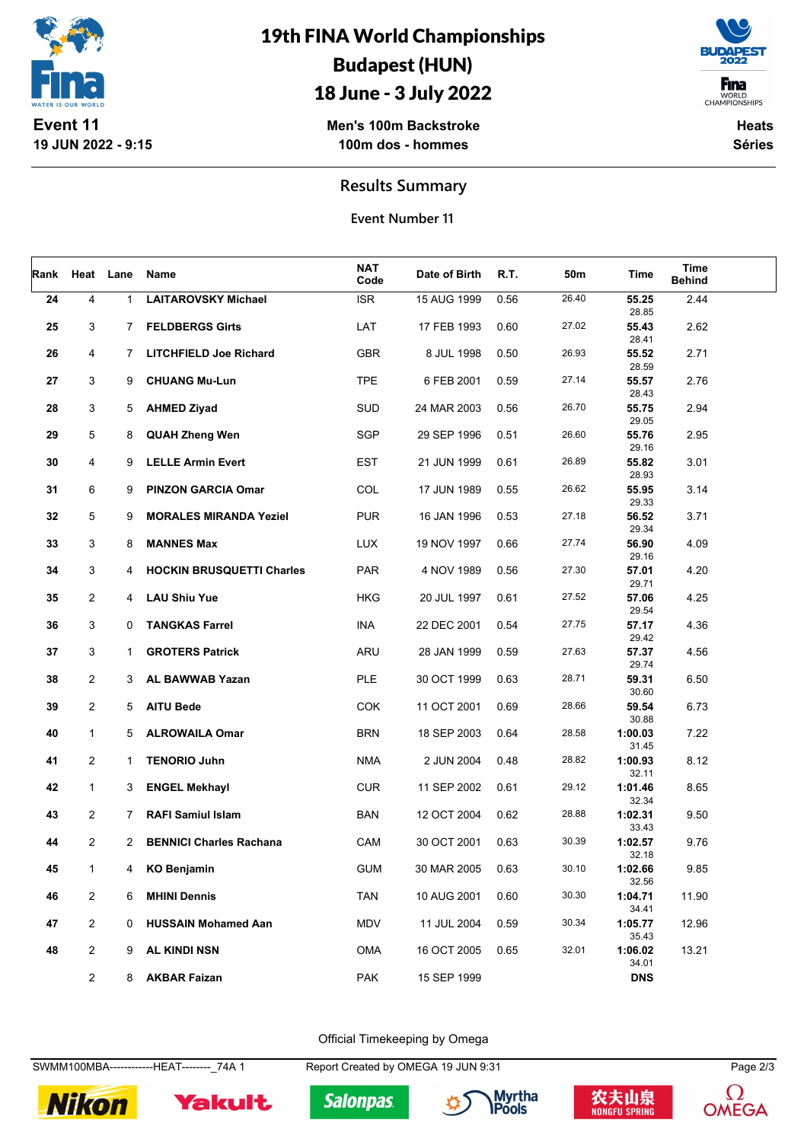

# 19th FINA World Championships Budapest (HUN)

### 18 June - 3 July 2022



**Men's 100m Backstroke 100m dos - hommes**

**Heats Séries**

**Results Summary**

**Event Number 11**

| Rank | Heat           | Lane         | Name                             | <b>NAT</b><br>Code | Date of Birth | R.T. | 50m   | Time                | Time<br><b>Behind</b> |  |
|------|----------------|--------------|----------------------------------|--------------------|---------------|------|-------|---------------------|-----------------------|--|
| 24   | 4              | $\mathbf{1}$ | <b>LAITAROVSKY Michael</b>       | <b>ISR</b>         | 15 AUG 1999   | 0.56 | 26.40 | 55.25<br>28.85      | 2.44                  |  |
| 25   | 3              | $7^{\circ}$  | <b>FELDBERGS Girts</b>           | LAT                | 17 FEB 1993   | 0.60 | 27.02 | 55.43<br>28.41      | 2.62                  |  |
| 26   | 4              | $7^{\circ}$  | <b>LITCHFIELD Joe Richard</b>    | GBR                | 8 JUL 1998    | 0.50 | 26.93 | 55.52               | 2.71                  |  |
| 27   | 3              | 9            | <b>CHUANG Mu-Lun</b>             | <b>TPE</b>         | 6 FEB 2001    | 0.59 | 27.14 | 28.59<br>55.57      | 2.76                  |  |
| 28   | 3              | 5            | <b>AHMED Ziyad</b>               | SUD                | 24 MAR 2003   | 0.56 | 26.70 | 28.43<br>55.75      | 2.94                  |  |
| 29   | 5              | 8            | <b>QUAH Zheng Wen</b>            | <b>SGP</b>         | 29 SEP 1996   | 0.51 | 26.60 | 29.05<br>55.76      | 2.95                  |  |
| 30   | 4              | 9            | <b>LELLE Armin Evert</b>         | <b>EST</b>         | 21 JUN 1999   | 0.61 | 26.89 | 29.16<br>55.82      | 3.01                  |  |
| 31   | 6              | 9            | <b>PINZON GARCIA Omar</b>        | COL                | 17 JUN 1989   | 0.55 | 26.62 | 28.93<br>55.95      | 3.14                  |  |
| 32   | 5              | 9            | <b>MORALES MIRANDA Yeziel</b>    | <b>PUR</b>         | 16 JAN 1996   | 0.53 | 27.18 | 29.33<br>56.52      | 3.71                  |  |
| 33   | 3              | 8            | <b>MANNES Max</b>                | <b>LUX</b>         | 19 NOV 1997   | 0.66 | 27.74 | 29.34<br>56.90      | 4.09                  |  |
| 34   | 3              | 4            | <b>HOCKIN BRUSQUETTI Charles</b> | <b>PAR</b>         | 4 NOV 1989    | 0.56 | 27.30 | 29.16<br>57.01      | 4.20                  |  |
| 35   | $\overline{2}$ | 4            | <b>LAU Shiu Yue</b>              | <b>HKG</b>         | 20 JUL 1997   | 0.61 | 27.52 | 29.71<br>57.06      | 4.25                  |  |
| 36   | 3              | 0            | <b>TANGKAS Farrel</b>            | INA                | 22 DEC 2001   | 0.54 | 27.75 | 29.54<br>57.17      | 4.36                  |  |
| 37   | 3              | 1            | <b>GROTERS Patrick</b>           | ARU                | 28 JAN 1999   | 0.59 | 27.63 | 29.42<br>57.37      | 4.56                  |  |
| 38   | $\overline{2}$ | 3            | AL BAWWAB Yazan                  | PLE                | 30 OCT 1999   | 0.63 | 28.71 | 29.74<br>59.31      | 6.50                  |  |
| 39   | $\overline{2}$ | 5            | <b>AITU Bede</b>                 | COK                | 11 OCT 2001   | 0.69 | 28.66 | 30.60<br>59.54      | 6.73                  |  |
| 40   | 1              | 5            | <b>ALROWAILA Omar</b>            | <b>BRN</b>         | 18 SEP 2003   | 0.64 | 28.58 | 30.88<br>1:00.03    | 7.22                  |  |
| 41   | $\overline{2}$ | $\mathbf{1}$ | <b>TENORIO Juhn</b>              | <b>NMA</b>         | 2 JUN 2004    | 0.48 | 28.82 | 31.45<br>1:00.93    | 8.12                  |  |
| 42   | 1              | 3            | <b>ENGEL Mekhayl</b>             | <b>CUR</b>         | 11 SEP 2002   | 0.61 | 29.12 | 32.11<br>1:01.46    | 8.65                  |  |
| 43   | $\overline{2}$ | $7^{\circ}$  | <b>RAFI Samiul Islam</b>         | <b>BAN</b>         | 12 OCT 2004   | 0.62 | 28.88 | 32.34<br>1:02.31    | 9.50                  |  |
| 44   | 2              | $\mathbf{2}$ | <b>BENNICI Charles Rachana</b>   | CAM                | 30 OCT 2001   | 0.63 | 30.39 | 33.43<br>1:02.57    | 9.76                  |  |
| 45   | 1              | 4            | <b>KO Benjamin</b>               | <b>GUM</b>         | 30 MAR 2005   | 0.63 | 30.10 | 32.18<br>1:02.66    | 9.85                  |  |
| 46   | $\overline{2}$ | 6            | <b>MHINI Dennis</b>              | <b>TAN</b>         | 10 AUG 2001   | 0.60 | 30.30 | 32.56<br>1:04.71    | 11.90                 |  |
| 47   | $\overline{2}$ | 0            | <b>HUSSAIN Mohamed Aan</b>       | MDV                | 11 JUL 2004   | 0.59 | 30.34 | 34.41<br>1:05.77    | 12.96                 |  |
| 48   | $\overline{2}$ | 9            | <b>AL KINDI NSN</b>              | OMA                | 16 OCT 2005   | 0.65 | 32.01 | 35.43<br>1:06.02    | 13.21                 |  |
|      | $\overline{2}$ | 8            | <b>AKBAR Faizan</b>              | <b>PAK</b>         | 15 SEP 1999   |      |       | 34.01<br><b>DNS</b> |                       |  |

Official Timekeeping by Omega

SWMM100MBA-------------HEAT--------\_74A 1 Report Created by OMEGA 19 JUN 9:31 Page 2/3



Yakult